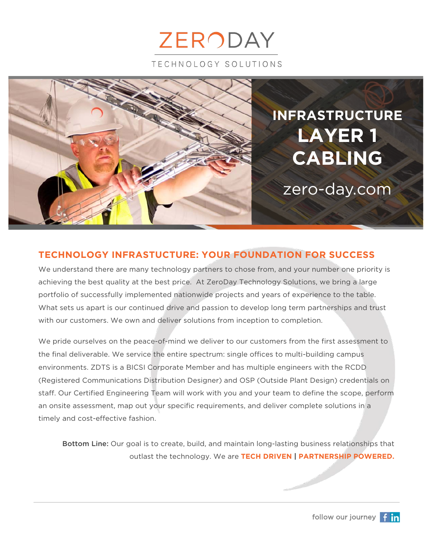



## **TECHNOLOGY INFRASTUCTURE: YOUR FOUNDATION FOR SUCCESS**

We understand there are many technology partners to chose from, and your number one priority is achieving the best quality at the best price. At ZeroDay Technology Solutions, we bring a large portfolio of successfully implemented nationwide projects and years of experience to the table. What sets us apart is our continued drive and passion to develop long term partnerships and trust with our customers. We own and deliver solutions from inception to completion.

We pride ourselves on the peace-of-mind we deliver to our customers from the first assessment to the final deliverable. We service the entire spectrum: single offices to multi-building campus environments. ZDTS is a BICSI Corporate Member and has multiple engineers with the RCDD (Registered Communications Distribution Designer) and OSP (Outside Plant Design) credentials on staff. Our Certified Engineering Team will work with you and your team to define the scope, perform an onsite assessment, map out your specific requirements, and deliver complete solutions in a timely and cost-effective fashion.

Bottom Line: Our goal is to create, build, and maintain long-lasting business relationships that outlast the technology. We are **TECH DRIVEN | PARTNERSHIP POWERED.**

follow our journey **f** in